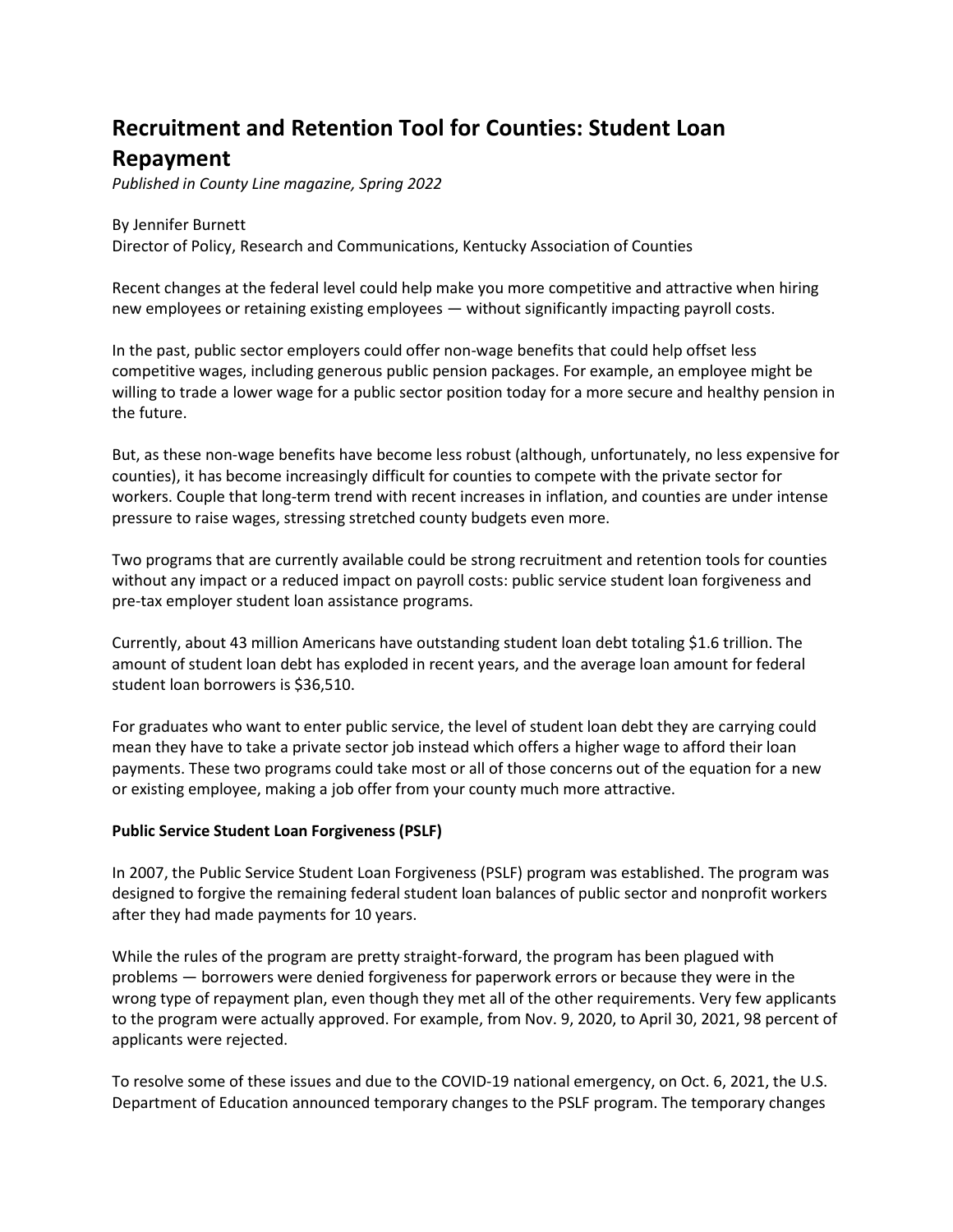## **Recruitment and Retention Tool for Counties: Student Loan Repayment**

*Published in County Line magazine, Spring 2022*

By Jennifer Burnett Director of Policy, Research and Communications, Kentucky Association of Counties

Recent changes at the federal level could help make you more competitive and attractive when hiring new employees or retaining existing employees — without significantly impacting payroll costs.

In the past, public sector employers could offer non-wage benefits that could help offset less competitive wages, including generous public pension packages. For example, an employee might be willing to trade a lower wage for a public sector position today for a more secure and healthy pension in the future.

But, as these non-wage benefits have become less robust (although, unfortunately, no less expensive for counties), it has become increasingly difficult for counties to compete with the private sector for workers. Couple that long-term trend with recent increases in inflation, and counties are under intense pressure to raise wages, stressing stretched county budgets even more.

Two programs that are currently available could be strong recruitment and retention tools for counties without any impact or a reduced impact on payroll costs: public service student loan forgiveness and pre-tax employer student loan assistance programs.

Currently, about 43 million Americans have outstanding student loan debt totaling \$1.6 trillion. The amount of student loan debt has exploded in recent years, and the average loan amount for federal student loan borrowers is \$36,510.

For graduates who want to enter public service, the level of student loan debt they are carrying could mean they have to take a private sector job instead which offers a higher wage to afford their loan payments. These two programs could take most or all of those concerns out of the equation for a new or existing employee, making a job offer from your county much more attractive.

## **Public Service Student Loan Forgiveness (PSLF)**

In 2007, the Public Service Student Loan Forgiveness (PSLF) program was established. The program was designed to forgive the remaining federal student loan balances of public sector and nonprofit workers after they had made payments for 10 years.

While the rules of the program are pretty straight-forward, the program has been plagued with problems — borrowers were denied forgiveness for paperwork errors or because they were in the wrong type of repayment plan, even though they met all of the other requirements. Very few applicants to the program were actually approved. For example, from Nov. 9, 2020, to April 30, 2021, 98 percent of applicants were rejected.

To resolve some of these issues and due to the COVID-19 national emergency, on Oct. 6, 2021, the U.S. Department of Education announced temporary changes to the PSLF program. The temporary changes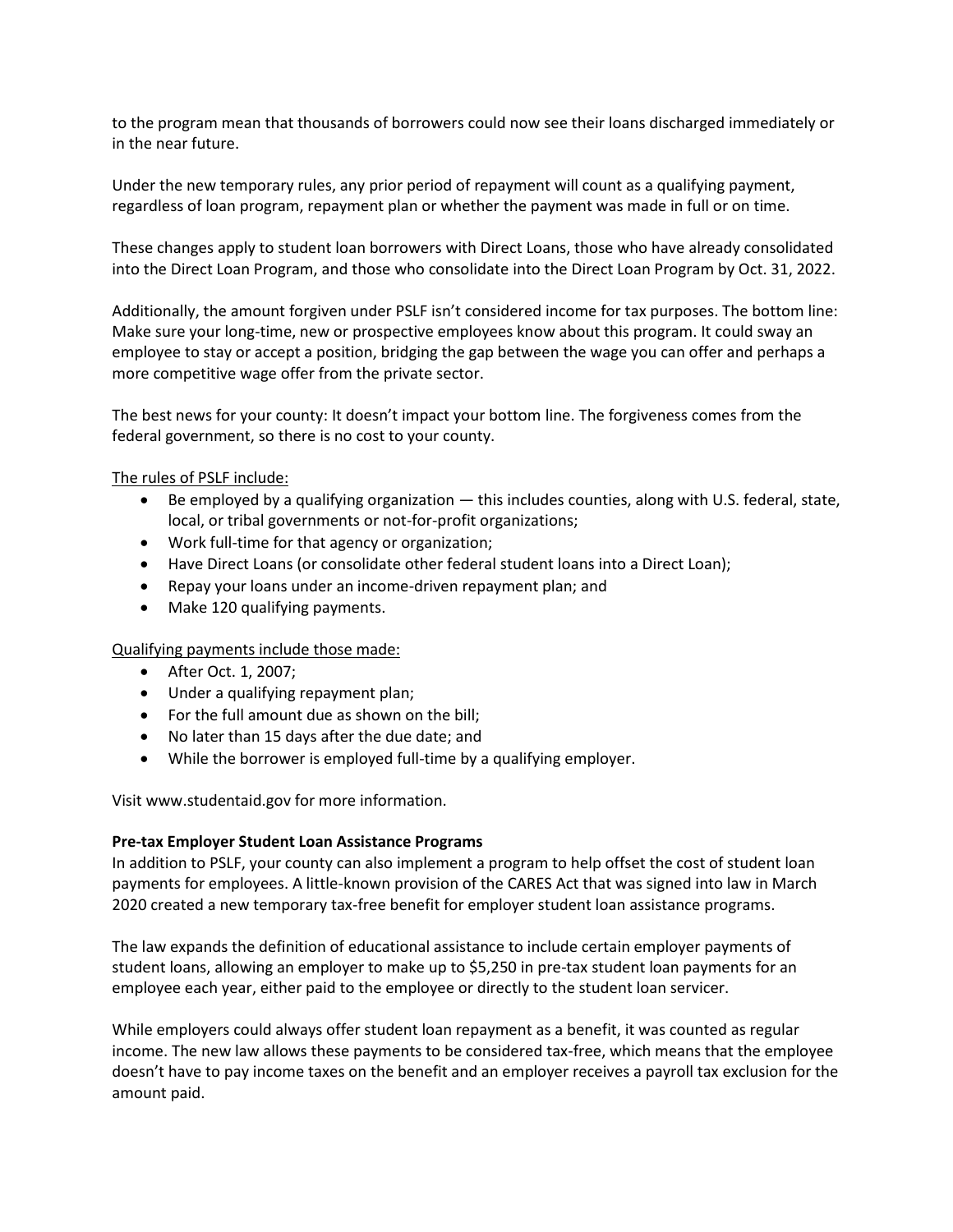to the program mean that thousands of borrowers could now see their loans discharged immediately or in the near future.

Under the new temporary rules, any prior period of repayment will count as a qualifying payment, regardless of loan program, repayment plan or whether the payment was made in full or on time.

These changes apply to student loan borrowers with Direct Loans, those who have already consolidated into the Direct Loan Program, and those who consolidate into the Direct Loan Program by Oct. 31, 2022.

Additionally, the amount forgiven under PSLF isn't considered income for tax purposes. The bottom line: Make sure your long-time, new or prospective employees know about this program. It could sway an employee to stay or accept a position, bridging the gap between the wage you can offer and perhaps a more competitive wage offer from the private sector.

The best news for your county: It doesn't impact your bottom line. The forgiveness comes from the federal government, so there is no cost to your county.

The rules of PSLF include:

- Be employed by a qualifying organization this includes counties, along with U.S. federal, state, local, or tribal governments or not-for-profit organizations;
- Work full-time for that agency or organization;
- Have Direct Loans (or consolidate other federal student loans into a Direct Loan);
- Repay your loans under an income-driven repayment plan; and
- Make 120 qualifying payments.

Qualifying payments include those made:

- After Oct. 1, 2007;
- Under a qualifying repayment plan;
- For the full amount due as shown on the bill;
- No later than 15 days after the due date; and
- While the borrower is employed full-time by a qualifying employer.

Visit www.studentaid.gov for more information.

## **Pre-tax Employer Student Loan Assistance Programs**

In addition to PSLF, your county can also implement a program to help offset the cost of student loan payments for employees. A little-known provision of the CARES Act that was signed into law in March 2020 created a new temporary tax-free benefit for employer student loan assistance programs.

The law expands the definition of educational assistance to include certain employer payments of student loans, allowing an employer to make up to \$5,250 in pre-tax student loan payments for an employee each year, either paid to the employee or directly to the student loan servicer.

While employers could always offer student loan repayment as a benefit, it was counted as regular income. The new law allows these payments to be considered tax-free, which means that the employee doesn't have to pay income taxes on the benefit and an employer receives a payroll tax exclusion for the amount paid.